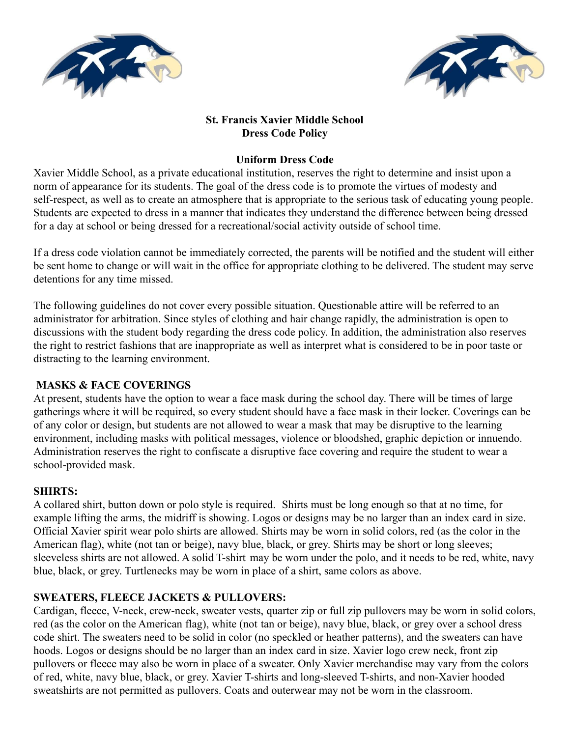



# **St. Francis Xavier Middle School Dress Code Policy**

# **Uniform Dress Code**

Xavier Middle School, as a private educational institution, reserves the right to determine and insist upon a norm of appearance for its students. The goal of the dress code is to promote the virtues of modesty and self-respect, as well as to create an atmosphere that is appropriate to the serious task of educating young people. Students are expected to dress in a manner that indicates they understand the difference between being dressed for a day at school or being dressed for a recreational/social activity outside of school time.

If a dress code violation cannot be immediately corrected, the parents will be notified and the student will either be sent home to change or will wait in the office for appropriate clothing to be delivered. The student may serve detentions for any time missed.

The following guidelines do not cover every possible situation. Questionable attire will be referred to an administrator for arbitration. Since styles of clothing and hair change rapidly, the administration is open to discussions with the student body regarding the dress code policy. In addition, the administration also reserves the right to restrict fashions that are inappropriate as well as interpret what is considered to be in poor taste or distracting to the learning environment.

## **MASKS & FACE COVERINGS**

At present, students have the option to wear a face mask during the school day. There will be times of large gatherings where it will be required, so every student should have a face mask in their locker. Coverings can be of any color or design, but students are not allowed to wear a mask that may be disruptive to the learning environment, including masks with political messages, violence or bloodshed, graphic depiction or innuendo. Administration reserves the right to confiscate a disruptive face covering and require the student to wear a school-provided mask.

## **SHIRTS:**

A collared shirt, button down or polo style is required. Shirts must be long enough so that at no time, for example lifting the arms, the midriff is showing. Logos or designs may be no larger than an index card in size. Official Xavier spirit wear polo shirts are allowed. Shirts may be worn in solid colors, red (as the color in the American flag), white (not tan or beige), navy blue, black, or grey. Shirts may be short or long sleeves; sleeveless shirts are not allowed. A solid T-shirt may be worn under the polo, and it needs to be red, white, navy blue, black, or grey. Turtlenecks may be worn in place of a shirt, same colors as above.

# **SWEATERS, FLEECE JACKETS & PULLOVERS:**

Cardigan, fleece, V-neck, crew-neck, sweater vests, quarter zip or full zip pullovers may be worn in solid colors, red (as the color on the American flag), white (not tan or beige), navy blue, black, or grey over a school dress code shirt. The sweaters need to be solid in color (no speckled or heather patterns), and the sweaters can have hoods. Logos or designs should be no larger than an index card in size. Xavier logo crew neck, front zip pullovers or fleece may also be worn in place of a sweater. Only Xavier merchandise may vary from the colors of red, white, navy blue, black, or grey. Xavier T-shirts and long-sleeved T-shirts, and non-Xavier hooded sweatshirts are not permitted as pullovers. Coats and outerwear may not be worn in the classroom.